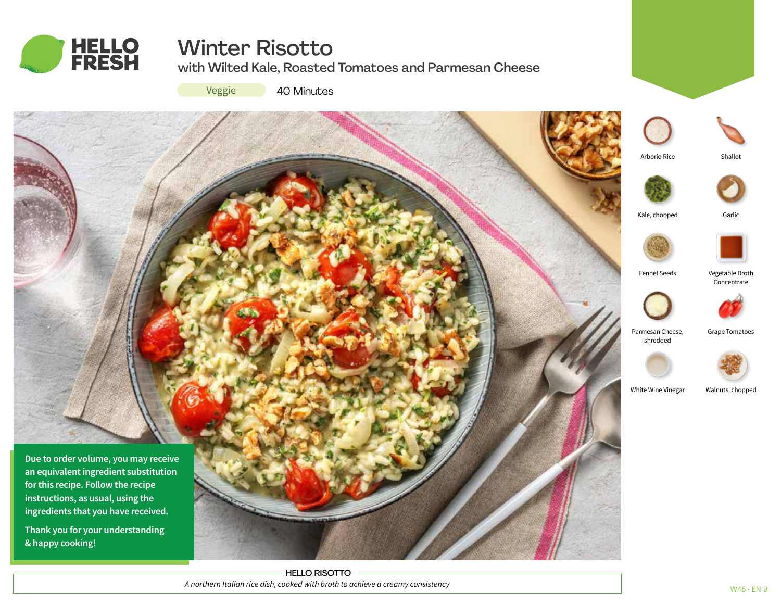

# Winter Risotto

with Wilted Kale, Roasted Tomatoes and Parmesan Cheese

Veggie

40 Minutes